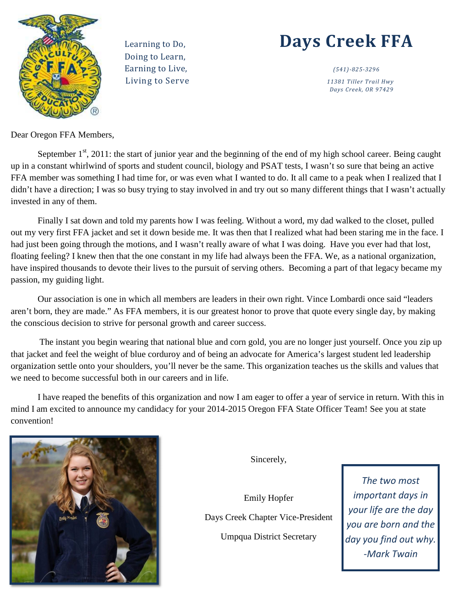

 Doing to Learn, Living to Serve *11381 Tiller Trail Hwy* 

# Learning to Do, **Days Creek FFA**

 *Days Creek, OR 97429* 

Dear Oregon FFA Members,

September  $1<sup>st</sup>$ , 2011: the start of junior year and the beginning of the end of my high school career. Being caught up in a constant whirlwind of sports and student council, biology and PSAT tests, I wasn't so sure that being an active FFA member was something I had time for, or was even what I wanted to do. It all came to a peak when I realized that I didn't have a direction; I was so busy trying to stay involved in and try out so many different things that I wasn't actually invested in any of them.

Finally I sat down and told my parents how I was feeling. Without a word, my dad walked to the closet, pulled out my very first FFA jacket and set it down beside me. It was then that I realized what had been staring me in the face. I had just been going through the motions, and I wasn't really aware of what I was doing. Have you ever had that lost, floating feeling? I knew then that the one constant in my life had always been the FFA. We, as a national organization, have inspired thousands to devote their lives to the pursuit of serving others. Becoming a part of that legacy became my passion, my guiding light.

Our association is one in which all members are leaders in their own right. Vince Lombardi once said "leaders aren't born, they are made." As FFA members, it is our greatest honor to prove that quote every single day, by making the conscious decision to strive for personal growth and career success.

The instant you begin wearing that national blue and corn gold, you are no longer just yourself. Once you zip up that jacket and feel the weight of blue corduroy and of being an advocate for America's largest student led leadership organization settle onto your shoulders, you'll never be the same. This organization teaches us the skills and values that we need to become successful both in our careers and in life.

I have reaped the benefits of this organization and now I am eager to offer a year of service in return. With this in mind I am excited to announce my candidacy for your 2014-2015 Oregon FFA State Officer Team! See you at state convention!



Sincerely,

Emily Hopfer Days Creek Chapter Vice-President Umpqua District Secretary

*The two most important days in your life are the day you are born and the day you find out why. -Mark Twain*